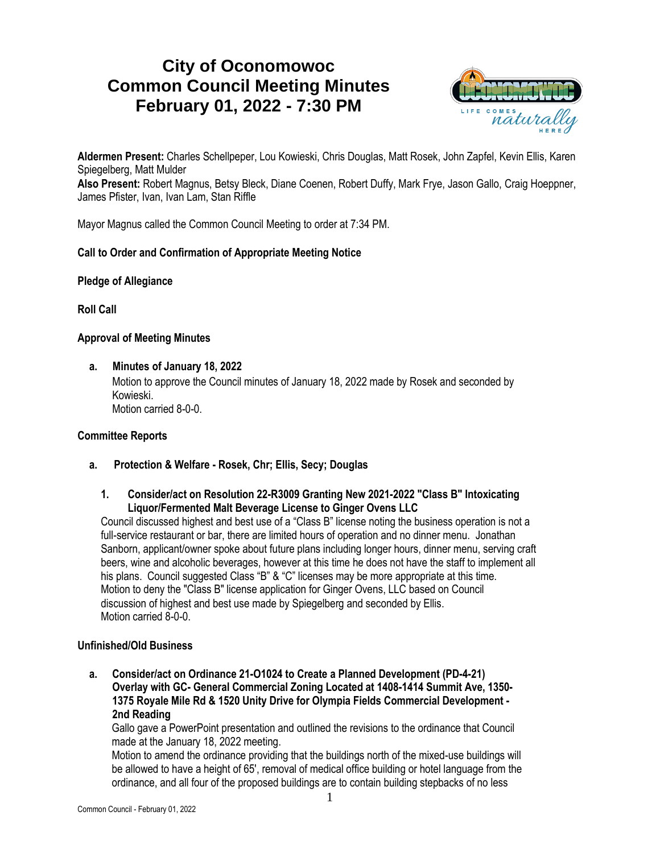# **City of Oconomowoc Common Council Meeting Minutes February 01, 2022 - 7:30 PM**



**Aldermen Present:** Charles Schellpeper, Lou Kowieski, Chris Douglas, Matt Rosek, John Zapfel, Kevin Ellis, Karen Spiegelberg, Matt Mulder

**Also Present:** Robert Magnus, Betsy Bleck, Diane Coenen, Robert Duffy, Mark Frye, Jason Gallo, Craig Hoeppner, James Pfister, Ivan, Ivan Lam, Stan Riffle

Mayor Magnus called the Common Council Meeting to order at 7:34 PM.

### **Call to Order and Confirmation of Appropriate Meeting Notice**

#### **Pledge of Allegiance**

**Roll Call**

#### **Approval of Meeting Minutes**

**a. Minutes of January 18, 2022**

Motion to approve the Council minutes of January 18, 2022 made by Rosek and seconded by Kowieski. Motion carried 8-0-0.

#### **Committee Reports**

- **a. Protection & Welfare - Rosek, Chr; Ellis, Secy; Douglas**
	- **1. Consider/act on Resolution 22-R3009 Granting New 2021-2022 "Class B" Intoxicating Liquor/Fermented Malt Beverage License to Ginger Ovens LLC**

Council discussed highest and best use of a "Class B" license noting the business operation is not a full-service restaurant or bar, there are limited hours of operation and no dinner menu. Jonathan Sanborn, applicant/owner spoke about future plans including longer hours, dinner menu, serving craft beers, wine and alcoholic beverages, however at this time he does not have the staff to implement all his plans. Council suggested Class "B" & "C" licenses may be more appropriate at this time. Motion to deny the "Class B" license application for Ginger Ovens, LLC based on Council discussion of highest and best use made by Spiegelberg and seconded by Ellis. Motion carried 8-0-0.

#### **Unfinished/Old Business**

**a. Consider/act on Ordinance 21-O1024 to Create a Planned Development (PD-4-21) Overlay with GC- General Commercial Zoning Located at 1408-1414 Summit Ave, 1350- 1375 Royale Mile Rd & 1520 Unity Drive for Olympia Fields Commercial Development - 2nd Reading**

Gallo gave a PowerPoint presentation and outlined the revisions to the ordinance that Council made at the January 18, 2022 meeting.

Motion to amend the ordinance providing that the buildings north of the mixed-use buildings will be allowed to have a height of 65', removal of medical office building or hotel language from the ordinance, and all four of the proposed buildings are to contain building stepbacks of no less